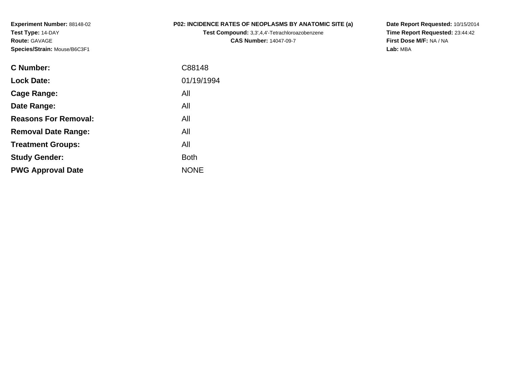**Experiment Number:** 88148-02**Test Type:** 14-DAY**Route:** GAVAGE**Species/Strain:** Mouse/B6C3F1

## **P02: INCIDENCE RATES OF NEOPLASMS BY ANATOMIC SITE (a)**

**Test Compound:** 3,3',4,4'-Tetrachloroazobenzene**CAS Number:** 14047-09-7

**Date Report Requested:** 10/15/2014 **Time Report Requested:** 23:44:42**First Dose M/F:** NA / NA**Lab:** MBA

| C Number:                   | C88148      |
|-----------------------------|-------------|
| <b>Lock Date:</b>           | 01/19/1994  |
| Cage Range:                 | All         |
| Date Range:                 | All         |
| <b>Reasons For Removal:</b> | All         |
| <b>Removal Date Range:</b>  | All         |
| <b>Treatment Groups:</b>    | All         |
| <b>Study Gender:</b>        | <b>Both</b> |
| <b>PWG Approval Date</b>    | <b>NONE</b> |
|                             |             |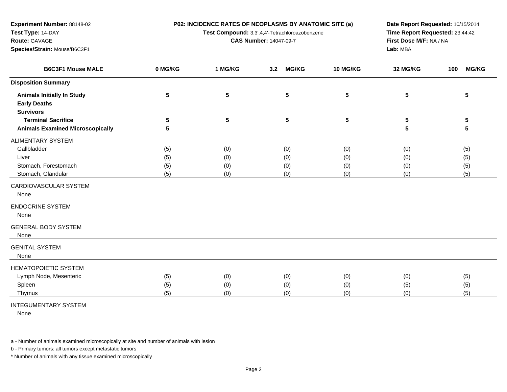**P02: INCIDENCE RATES OF NEOPLASMS BY ANATOMIC SITE (a)**

**Test Compound:** 3,3',4,4'-Tetrachloroazobenzene

**CAS Number:** 14047-09-7

**Date Report Requested:** 10/15/2014**Time Report Requested:** 23:44:42**First Dose M/F:** NA / NA**Lab:** MBA

| <b>B6C3F1 Mouse MALE</b>                                 | 0 MG/KG         | 1 MG/KG         | <b>MG/KG</b><br>3.2 | 10 MG/KG        | 32 MG/KG | <b>MG/KG</b><br>100 |
|----------------------------------------------------------|-----------------|-----------------|---------------------|-----------------|----------|---------------------|
| <b>Disposition Summary</b>                               |                 |                 |                     |                 |          |                     |
| <b>Animals Initially In Study</b><br><b>Early Deaths</b> | $5\phantom{.0}$ | $5\phantom{.0}$ | 5                   | $5\phantom{.0}$ | 5        | 5                   |
| <b>Survivors</b>                                         |                 |                 |                     |                 |          |                     |
| <b>Terminal Sacrifice</b>                                | $5\phantom{.0}$ | $5\phantom{.0}$ | 5                   | $5\phantom{.0}$ | 5        | ${\bf 5}$           |
| <b>Animals Examined Microscopically</b>                  | 5               |                 |                     |                 | 5        | 5                   |
| <b>ALIMENTARY SYSTEM</b>                                 |                 |                 |                     |                 |          |                     |
| Gallbladder                                              | (5)             | (0)             | (0)                 | (0)             | (0)      | (5)                 |
| Liver                                                    | (5)             | (0)             | (0)                 | (0)             | (0)      | (5)                 |
| Stomach, Forestomach                                     | (5)             | (0)             | (0)                 | (0)             | (0)      | (5)                 |
| Stomach, Glandular                                       | (5)             | (0)             | (0)                 | (0)             | (0)      | (5)                 |
| CARDIOVASCULAR SYSTEM<br>None                            |                 |                 |                     |                 |          |                     |
| <b>ENDOCRINE SYSTEM</b><br>None                          |                 |                 |                     |                 |          |                     |
| <b>GENERAL BODY SYSTEM</b><br>None                       |                 |                 |                     |                 |          |                     |
| <b>GENITAL SYSTEM</b><br>None                            |                 |                 |                     |                 |          |                     |
| <b>HEMATOPOIETIC SYSTEM</b>                              |                 |                 |                     |                 |          |                     |
| Lymph Node, Mesenteric                                   | (5)             | (0)             | (0)                 | (0)             | (0)      | (5)                 |
| Spleen                                                   | (5)             | (0)             | (0)                 | (0)             | (5)      | (5)                 |
| Thymus                                                   | (5)             | (0)             | (0)                 | (0)             | (0)      | (5)                 |

## INTEGUMENTARY SYSTEM

**Experiment Number:** 88148-02

**Species/Strain:** Mouse/B6C3F1

**Test Type:** 14-DAY**Route:** GAVAGE

None

a - Number of animals examined microscopically at site and number of animals with lesion

b - Primary tumors: all tumors except metastatic tumors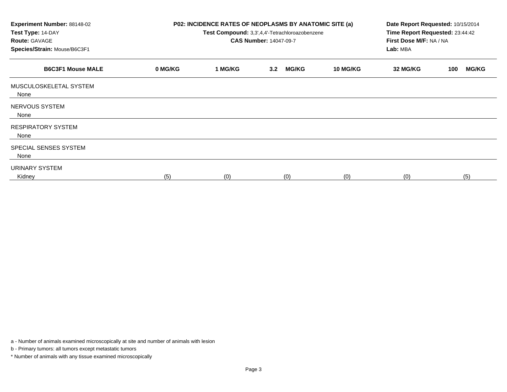| <b>Experiment Number: 88148-02</b><br>Test Type: 14-DAY<br><b>Route: GAVAGE</b><br>Species/Strain: Mouse/B6C3F1 | P02: INCIDENCE RATES OF NEOPLASMS BY ANATOMIC SITE (a)<br>Test Compound: 3,3',4,4'-Tetrachloroazobenzene<br><b>CAS Number: 14047-09-7</b> |         |                     | Date Report Requested: 10/15/2014<br>Time Report Requested: 23:44:42<br>First Dose M/F: NA / NA<br>Lab: MBA |          |                     |
|-----------------------------------------------------------------------------------------------------------------|-------------------------------------------------------------------------------------------------------------------------------------------|---------|---------------------|-------------------------------------------------------------------------------------------------------------|----------|---------------------|
| <b>B6C3F1 Mouse MALE</b>                                                                                        | 0 MG/KG                                                                                                                                   | 1 MG/KG | <b>MG/KG</b><br>3.2 | <b>10 MG/KG</b>                                                                                             | 32 MG/KG | <b>MG/KG</b><br>100 |
| MUSCULOSKELETAL SYSTEM<br>None                                                                                  |                                                                                                                                           |         |                     |                                                                                                             |          |                     |
| NERVOUS SYSTEM<br>None                                                                                          |                                                                                                                                           |         |                     |                                                                                                             |          |                     |
| <b>RESPIRATORY SYSTEM</b><br>None                                                                               |                                                                                                                                           |         |                     |                                                                                                             |          |                     |
| SPECIAL SENSES SYSTEM<br>None                                                                                   |                                                                                                                                           |         |                     |                                                                                                             |          |                     |
| URINARY SYSTEM<br>Kidney                                                                                        | (5)                                                                                                                                       | (0)     | (0)                 | (0)                                                                                                         | (0)      | (5)                 |

a - Number of animals examined microscopically at site and number of animals with lesion

b - Primary tumors: all tumors except metastatic tumors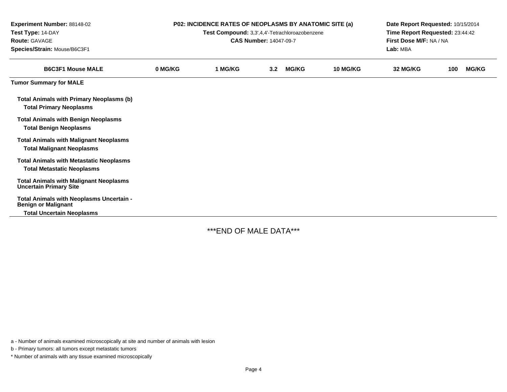| <b>Experiment Number: 88148-02</b><br>Test Type: 14-DAY<br>Route: GAVAGE<br>Species/Strain: Mouse/B6C3F1 | P02: INCIDENCE RATES OF NEOPLASMS BY ANATOMIC SITE (a)<br>Test Compound: 3,3',4,4'-Tetrachloroazobenzene<br><b>CAS Number: 14047-09-7</b> |         |     |              |          | Date Report Requested: 10/15/2014<br>Time Report Requested: 23:44:42<br>First Dose M/F: NA / NA<br>Lab: MBA |     |              |  |
|----------------------------------------------------------------------------------------------------------|-------------------------------------------------------------------------------------------------------------------------------------------|---------|-----|--------------|----------|-------------------------------------------------------------------------------------------------------------|-----|--------------|--|
| <b>B6C3F1 Mouse MALE</b>                                                                                 | 0 MG/KG                                                                                                                                   | 1 MG/KG | 3.2 | <b>MG/KG</b> | 10 MG/KG | 32 MG/KG                                                                                                    | 100 | <b>MG/KG</b> |  |
| <b>Tumor Summary for MALE</b>                                                                            |                                                                                                                                           |         |     |              |          |                                                                                                             |     |              |  |
| <b>Total Animals with Primary Neoplasms (b)</b><br><b>Total Primary Neoplasms</b>                        |                                                                                                                                           |         |     |              |          |                                                                                                             |     |              |  |
| <b>Total Animals with Benign Neoplasms</b><br><b>Total Benign Neoplasms</b>                              |                                                                                                                                           |         |     |              |          |                                                                                                             |     |              |  |
| <b>Total Animals with Malignant Neoplasms</b><br><b>Total Malignant Neoplasms</b>                        |                                                                                                                                           |         |     |              |          |                                                                                                             |     |              |  |
| <b>Total Animals with Metastatic Neoplasms</b><br><b>Total Metastatic Neoplasms</b>                      |                                                                                                                                           |         |     |              |          |                                                                                                             |     |              |  |
| <b>Total Animals with Malignant Neoplasms</b><br><b>Uncertain Primary Site</b>                           |                                                                                                                                           |         |     |              |          |                                                                                                             |     |              |  |
| Total Animals with Neoplasms Uncertain -<br><b>Benign or Malignant</b>                                   |                                                                                                                                           |         |     |              |          |                                                                                                             |     |              |  |
| <b>Total Uncertain Neoplasms</b>                                                                         |                                                                                                                                           |         |     |              |          |                                                                                                             |     |              |  |

-

\*\*\*END OF MALE DATA\*\*\*

a - Number of animals examined microscopically at site and number of animals with lesion

b - Primary tumors: all tumors except metastatic tumors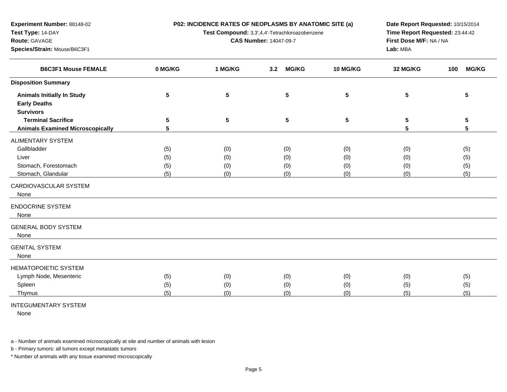**P02: INCIDENCE RATES OF NEOPLASMS BY ANATOMIC SITE (a)**

**Test Compound:** 3,3',4,4'-Tetrachloroazobenzene

**CAS Number:** 14047-09-7

**Date Report Requested:** 10/15/2014**Time Report Requested:** 23:44:42**First Dose M/F:** NA / NA**Lab:** MBA

| <b>B6C3F1 Mouse FEMALE</b>              | 0 MG/KG | 1 MG/KG | <b>MG/KG</b><br>3.2 | 10 MG/KG | 32 MG/KG | <b>MG/KG</b><br>100 |
|-----------------------------------------|---------|---------|---------------------|----------|----------|---------------------|
| <b>Disposition Summary</b>              |         |         |                     |          |          |                     |
| <b>Animals Initially In Study</b>       | 5       | 5       | 5                   | 5        | 5        | 5                   |
| <b>Early Deaths</b>                     |         |         |                     |          |          |                     |
| <b>Survivors</b>                        |         |         |                     |          |          |                     |
| <b>Terminal Sacrifice</b>               | 5       | 5       | 5                   | 5        | 5        | 5                   |
| <b>Animals Examined Microscopically</b> | 5       |         |                     |          | 5        | 5                   |
| ALIMENTARY SYSTEM                       |         |         |                     |          |          |                     |
| Gallbladder                             | (5)     | (0)     | (0)                 | (0)      | (0)      | (5)                 |
| Liver                                   | (5)     | (0)     | (0)                 | (0)      | (0)      | (5)                 |
| Stomach, Forestomach                    | (5)     | (0)     | (0)                 | (0)      | (0)      | (5)                 |
| Stomach, Glandular                      | (5)     | (0)     | (0)                 | (0)      | (0)      | (5)                 |
| CARDIOVASCULAR SYSTEM                   |         |         |                     |          |          |                     |
| None                                    |         |         |                     |          |          |                     |
| <b>ENDOCRINE SYSTEM</b>                 |         |         |                     |          |          |                     |
| None                                    |         |         |                     |          |          |                     |
| <b>GENERAL BODY SYSTEM</b>              |         |         |                     |          |          |                     |
| None                                    |         |         |                     |          |          |                     |
| <b>GENITAL SYSTEM</b>                   |         |         |                     |          |          |                     |
| None                                    |         |         |                     |          |          |                     |
| <b>HEMATOPOIETIC SYSTEM</b>             |         |         |                     |          |          |                     |
| Lymph Node, Mesenteric                  | (5)     | (0)     | (0)                 | (0)      | (0)      | (5)                 |
| Spleen                                  | (5)     | (0)     | (0)                 | (0)      | (5)      | (5)                 |
| Thymus                                  | (5)     | (0)     | (0)                 | (0)      | (5)      | (5)                 |
|                                         |         |         |                     |          |          |                     |

## INTEGUMENTARY SYSTEM

**Experiment Number:** 88148-02

**Species/Strain:** Mouse/B6C3F1

**Test Type:** 14-DAY**Route:** GAVAGE

None

ني ا

a - Number of animals examined microscopically at site and number of animals with lesion

b - Primary tumors: all tumors except metastatic tumors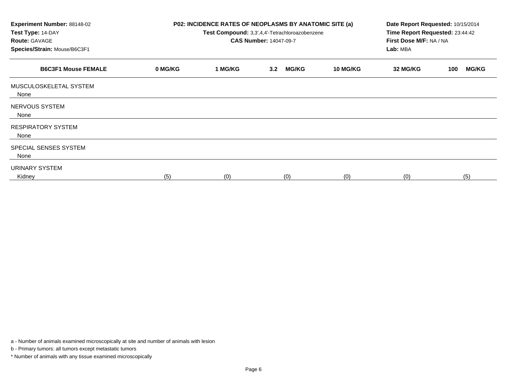| <b>Experiment Number: 88148-02</b><br>Test Type: 14-DAY<br><b>Route: GAVAGE</b><br>Species/Strain: Mouse/B6C3F1 | P02: INCIDENCE RATES OF NEOPLASMS BY ANATOMIC SITE (a)<br>Test Compound: 3,3',4,4'-Tetrachloroazobenzene<br><b>CAS Number: 14047-09-7</b> |         |                     |                 | Date Report Requested: 10/15/2014<br>Time Report Requested: 23:44:42<br>First Dose M/F: NA / NA<br>Lab: MBA |                     |
|-----------------------------------------------------------------------------------------------------------------|-------------------------------------------------------------------------------------------------------------------------------------------|---------|---------------------|-----------------|-------------------------------------------------------------------------------------------------------------|---------------------|
| <b>B6C3F1 Mouse FEMALE</b>                                                                                      | 0 MG/KG                                                                                                                                   | 1 MG/KG | <b>MG/KG</b><br>3.2 | <b>10 MG/KG</b> | 32 MG/KG                                                                                                    | <b>MG/KG</b><br>100 |
| MUSCULOSKELETAL SYSTEM<br>None                                                                                  |                                                                                                                                           |         |                     |                 |                                                                                                             |                     |
| NERVOUS SYSTEM<br>None                                                                                          |                                                                                                                                           |         |                     |                 |                                                                                                             |                     |
| <b>RESPIRATORY SYSTEM</b><br>None                                                                               |                                                                                                                                           |         |                     |                 |                                                                                                             |                     |
| SPECIAL SENSES SYSTEM<br>None                                                                                   |                                                                                                                                           |         |                     |                 |                                                                                                             |                     |
| URINARY SYSTEM<br>Kidney                                                                                        | (5)                                                                                                                                       | (0)     | (0)                 | (0)             | (0)                                                                                                         | (5)                 |

a - Number of animals examined microscopically at site and number of animals with lesion

b - Primary tumors: all tumors except metastatic tumors